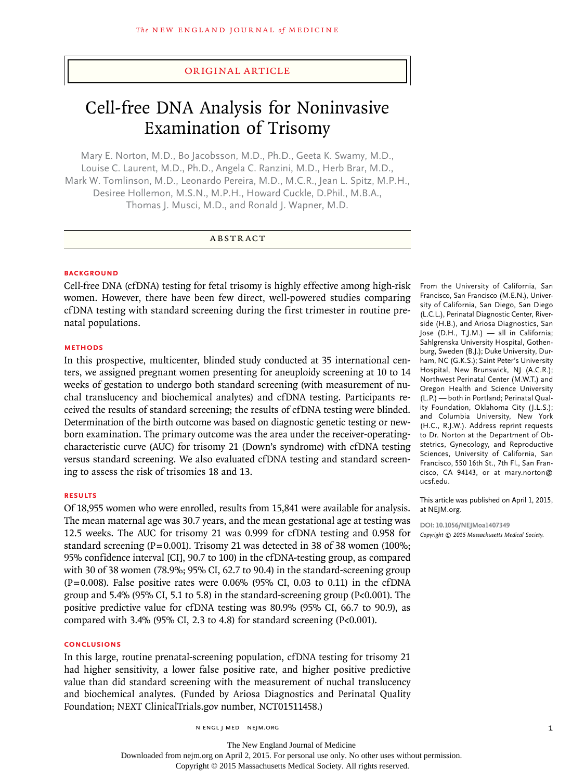#### original article

# Cell-free DNA Analysis for Noninvasive Examination of Trisomy

Mary E. Norton, M.D., Bo Jacobsson, M.D., Ph.D., Geeta K. Swamy, M.D., Louise C. Laurent, M.D., Ph.D., Angela C. Ranzini, M.D., Herb Brar, M.D., Mark W. Tomlinson, M.D., Leonardo Pereira, M.D., M.C.R., Jean L. Spitz, M.P.H., Desiree Hollemon, M.S.N., M.P.H., Howard Cuckle, D.Phil., M.B.A., Thomas J. Musci, M.D., and Ronald J. Wapner, M.D.

## ABSTRACT

#### **BACKGROUND**

Cell-free DNA (cfDNA) testing for fetal trisomy is highly effective among high-risk women. However, there have been few direct, well-powered studies comparing cfDNA testing with standard screening during the first trimester in routine prenatal populations.

## **Methods**

In this prospective, multicenter, blinded study conducted at 35 international centers, we assigned pregnant women presenting for aneuploidy screening at 10 to 14 weeks of gestation to undergo both standard screening (with measurement of nuchal translucency and biochemical analytes) and cfDNA testing. Participants received the results of standard screening; the results of cfDNA testing were blinded. Determination of the birth outcome was based on diagnostic genetic testing or newborn examination. The primary outcome was the area under the receiver-operatingcharacteristic curve (AUC) for trisomy 21 (Down's syndrome) with cfDNA testing versus standard screening. We also evaluated cfDNA testing and standard screening to assess the risk of trisomies 18 and 13.

#### **Results**

Of 18,955 women who were enrolled, results from 15,841 were available for analysis. The mean maternal age was 30.7 years, and the mean gestational age at testing was 12.5 weeks. The AUC for trisomy 21 was 0.999 for cfDNA testing and 0.958 for standard screening (P=0.001). Trisomy 21 was detected in 38 of 38 women (100%; 95% confidence interval [CI], 90.7 to 100) in the cfDNA-testing group, as compared with 30 of 38 women (78.9%; 95% CI, 62.7 to 90.4) in the standard-screening group  $(P=0.008)$ . False positive rates were 0.06% (95% CI, 0.03 to 0.11) in the cfDNA group and 5.4% (95% CI, 5.1 to 5.8) in the standard-screening group (P<0.001). The positive predictive value for cfDNA testing was 80.9% (95% CI, 66.7 to 90.9), as compared with 3.4% (95% CI, 2.3 to 4.8) for standard screening (P<0.001).

#### **Conclusions**

In this large, routine prenatal-screening population, cfDNA testing for trisomy 21 had higher sensitivity, a lower false positive rate, and higher positive predictive value than did standard screening with the measurement of nuchal translucency and biochemical analytes. (Funded by Ariosa Diagnostics and Perinatal Quality Foundation; NEXT ClinicalTrials.gov number, NCT01511458.)

n engl j med nejm.org 1

From the University of California, San Francisco, San Francisco (M.E.N.), University of California, San Diego, San Diego (L.C.L.), Perinatal Diagnostic Center, Riverside (H.B.), and Ariosa Diagnostics, San Jose (D.H., T.J.M.) — all in California; Sahlgrenska University Hospital, Gothenburg, Sweden (B.J.); Duke University, Durham, NC (G.K.S.); Saint Peter's University Hospital, New Brunswick, NJ (A.C.R.); Northwest Perinatal Center (M.W.T.) and Oregon Health and Science University (L.P.) — both in Portland; Perinatal Quality Foundation, Oklahoma City (J.L.S.); and Columbia University, New York (H.C., R.J.W.). Address reprint requests to Dr. Norton at the Department of Obstetrics, Gynecology, and Reproductive Sciences, University of California, San Francisco, 550 16th St., 7th Fl., San Francisco, CA 94143, or at mary.norton@ ucsf.edu.

This article was published on April 1, 2015, at NEJM.org.

**DOI: 10.1056/NEJMoa1407349** *Copyright © 2015 Massachusetts Medical Society.*

Downloaded from nejm.org on April 2, 2015. For personal use only. No other uses without permission.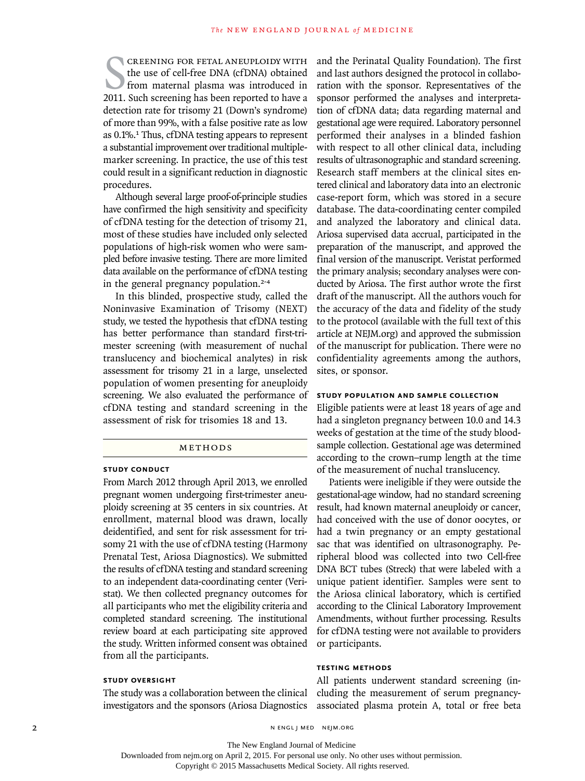SCREENING FOR FETAL ANEUPLOIDY WITH<br>
the use of cell-free DNA (cfDNA) obtained<br>
from maternal plasma was introduced in<br>
2011. Such screening has been reported to have a creening for fetal aneuploidy with the use of cell-free DNA (cfDNA) obtained from maternal plasma was introduced in detection rate for trisomy 21 (Down's syndrome) of more than 99%, with a false positive rate as low as 0.1%.1 Thus, cfDNA testing appears to represent a substantial improvement over traditional multiplemarker screening. In practice, the use of this test could result in a significant reduction in diagnostic procedures.

Although several large proof-of-principle studies have confirmed the high sensitivity and specificity of cfDNA testing for the detection of trisomy 21, most of these studies have included only selected populations of high-risk women who were sampled before invasive testing. There are more limited data available on the performance of cfDNA testing in the general pregnancy population.2-4

In this blinded, prospective study, called the Noninvasive Examination of Trisomy (NEXT) study, we tested the hypothesis that cfDNA testing has better performance than standard first-trimester screening (with measurement of nuchal translucency and biochemical analytes) in risk assessment for trisomy 21 in a large, unselected population of women presenting for aneuploidy screening. We also evaluated the performance of cfDNA testing and standard screening in the assessment of risk for trisomies 18 and 13.

#### Methods

#### **Study Conduct**

From March 2012 through April 2013, we enrolled pregnant women undergoing first-trimester aneuploidy screening at 35 centers in six countries. At enrollment, maternal blood was drawn, locally deidentified, and sent for risk assessment for trisomy 21 with the use of cfDNA testing (Harmony Prenatal Test, Ariosa Diagnostics). We submitted the results of cfDNA testing and standard screening to an independent data-coordinating center (Veristat). We then collected pregnancy outcomes for all participants who met the eligibility criteria and completed standard screening. The institutional review board at each participating site approved the study. Written informed consent was obtained from all the participants.

## **Study Oversight**

The study was a collaboration between the clinical investigators and the sponsors (Ariosa Diagnostics

and the Perinatal Quality Foundation). The first and last authors designed the protocol in collaboration with the sponsor. Representatives of the sponsor performed the analyses and interpretation of cfDNA data; data regarding maternal and gestational age were required. Laboratory personnel performed their analyses in a blinded fashion with respect to all other clinical data, including results of ultrasonographic and standard screening. Research staff members at the clinical sites entered clinical and laboratory data into an electronic case-report form, which was stored in a secure database. The data-coordinating center compiled and analyzed the laboratory and clinical data. Ariosa supervised data accrual, participated in the preparation of the manuscript, and approved the final version of the manuscript. Veristat performed the primary analysis; secondary analyses were conducted by Ariosa. The first author wrote the first draft of the manuscript. All the authors vouch for the accuracy of the data and fidelity of the study to the protocol (available with the full text of this article at NEJM.org) and approved the submission of the manuscript for publication. There were no confidentiality agreements among the authors, sites, or sponsor.

## **Study Population and Sample Collection**

Eligible patients were at least 18 years of age and had a singleton pregnancy between 10.0 and 14.3 weeks of gestation at the time of the study bloodsample collection. Gestational age was determined according to the crown–rump length at the time of the measurement of nuchal translucency.

Patients were ineligible if they were outside the gestational-age window, had no standard screening result, had known maternal aneuploidy or cancer, had conceived with the use of donor oocytes, or had a twin pregnancy or an empty gestational sac that was identified on ultrasonography. Peripheral blood was collected into two Cell-free DNA BCT tubes (Streck) that were labeled with a unique patient identifier. Samples were sent to the Ariosa clinical laboratory, which is certified according to the Clinical Laboratory Improvement Amendments, without further processing. Results for cfDNA testing were not available to providers or participants.

# **Testing Methods**

All patients underwent standard screening (including the measurement of serum pregnancyassociated plasma protein A, total or free beta

2 N ENGL J MED NEJM.ORG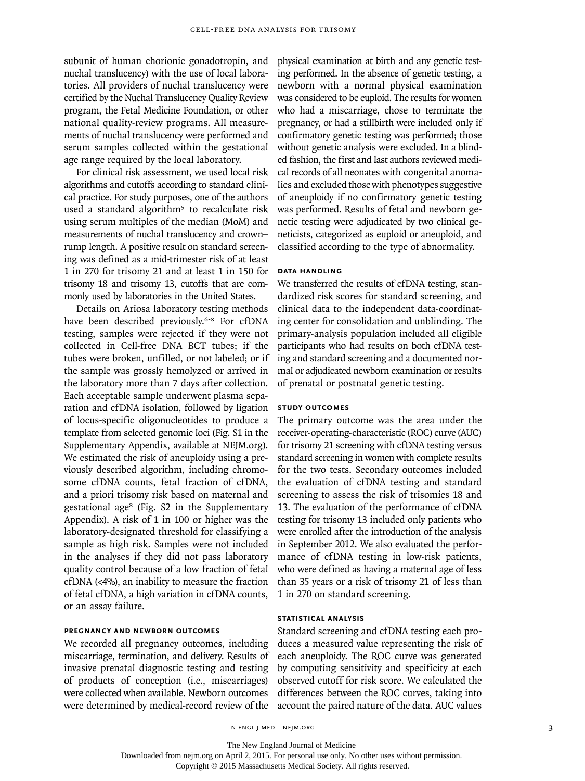subunit of human chorionic gonadotropin, and nuchal translucency) with the use of local laboratories. All providers of nuchal translucency were certified by the Nuchal Translucency Quality Review program, the Fetal Medicine Foundation, or other national quality-review programs. All measurements of nuchal translucency were performed and serum samples collected within the gestational age range required by the local laboratory.

For clinical risk assessment, we used local risk algorithms and cutoffs according to standard clinical practice. For study purposes, one of the authors used a standard algorithm<sup>5</sup> to recalculate risk using serum multiples of the median (MoM) and measurements of nuchal translucency and crown– rump length. A positive result on standard screening was defined as a mid-trimester risk of at least 1 in 270 for trisomy 21 and at least 1 in 150 for trisomy 18 and trisomy 13, cutoffs that are commonly used by laboratories in the United States.

Details on Ariosa laboratory testing methods have been described previously.<sup>6-8</sup> For cfDNA testing, samples were rejected if they were not collected in Cell-free DNA BCT tubes; if the tubes were broken, unfilled, or not labeled; or if the sample was grossly hemolyzed or arrived in the laboratory more than 7 days after collection. Each acceptable sample underwent plasma separation and cfDNA isolation, followed by ligation of locus-specific oligonucleotides to produce a template from selected genomic loci (Fig. S1 in the Supplementary Appendix, available at NEJM.org). We estimated the risk of aneuploidy using a previously described algorithm, including chromosome cfDNA counts, fetal fraction of cfDNA, and a priori trisomy risk based on maternal and gestational age8 (Fig. S2 in the Supplementary Appendix). A risk of 1 in 100 or higher was the laboratory-designated threshold for classifying a sample as high risk. Samples were not included in the analyses if they did not pass laboratory quality control because of a low fraction of fetal cfDNA (<4%), an inability to measure the fraction of fetal cfDNA, a high variation in cfDNA counts, or an assay failure.

## **Pregnancy and Newborn Outcomes**

We recorded all pregnancy outcomes, including miscarriage, termination, and delivery. Results of invasive prenatal diagnostic testing and testing of products of conception (i.e., miscarriages) were collected when available. Newborn outcomes were determined by medical-record review of the

physical examination at birth and any genetic testing performed. In the absence of genetic testing, a newborn with a normal physical examination was considered to be euploid. The results for women who had a miscarriage, chose to terminate the pregnancy, or had a stillbirth were included only if confirmatory genetic testing was performed; those without genetic analysis were excluded. In a blinded fashion, the first and last authors reviewed medical records of all neonates with congenital anomalies and excluded those with phenotypes suggestive of aneuploidy if no confirmatory genetic testing was performed. Results of fetal and newborn genetic testing were adjudicated by two clinical geneticists, categorized as euploid or aneuploid, and classified according to the type of abnormality.

# **Data Handling**

We transferred the results of cfDNA testing, standardized risk scores for standard screening, and clinical data to the independent data-coordinating center for consolidation and unblinding. The primary-analysis population included all eligible participants who had results on both cfDNA testing and standard screening and a documented normal or adjudicated newborn examination or results of prenatal or postnatal genetic testing.

# **Study Outcomes**

The primary outcome was the area under the receiver-operating-characteristic (ROC) curve (AUC) for trisomy 21 screening with cfDNA testing versus standard screening in women with complete results for the two tests. Secondary outcomes included the evaluation of cfDNA testing and standard screening to assess the risk of trisomies 18 and 13. The evaluation of the performance of cfDNA testing for trisomy 13 included only patients who were enrolled after the introduction of the analysis in September 2012. We also evaluated the performance of cfDNA testing in low-risk patients, who were defined as having a maternal age of less than 35 years or a risk of trisomy 21 of less than 1 in 270 on standard screening.

# **Statistical Analysis**

Standard screening and cfDNA testing each produces a measured value representing the risk of each aneuploidy. The ROC curve was generated by computing sensitivity and specificity at each observed cutoff for risk score. We calculated the differences between the ROC curves, taking into account the paired nature of the data. AUC values

n engl j med nejm.org 3

The New England Journal of Medicine

Downloaded from nejm.org on April 2, 2015. For personal use only. No other uses without permission.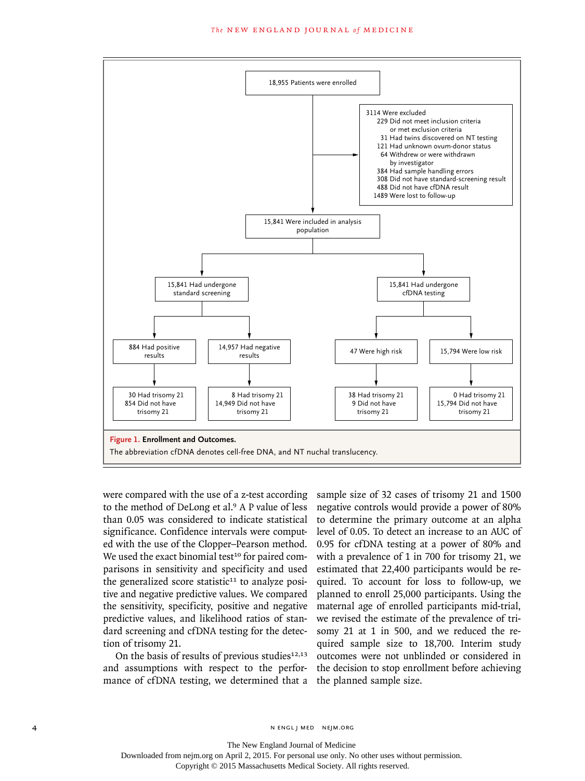

were compared with the use of a z-test according to the method of DeLong et al.9 A P value of less than 0.05 was considered to indicate statistical significance. Confidence intervals were computed with the use of the Clopper–Pearson method. We used the exact binomial test<sup>10</sup> for paired comparisons in sensitivity and specificity and used the generalized score statistic $11$  to analyze positive and negative predictive values. We compared the sensitivity, specificity, positive and negative predictive values, and likelihood ratios of standard screening and cfDNA testing for the detection of trisomy 21.

On the basis of results of previous studies $12,13$ and assumptions with respect to the performance of cfDNA testing, we determined that a the planned sample size.

sample size of 32 cases of trisomy 21 and 1500 negative controls would provide a power of 80% to determine the primary outcome at an alpha level of 0.05. To detect an increase to an AUC of 0.95 for cfDNA testing at a power of 80% and with a prevalence of 1 in 700 for trisomy 21, we estimated that 22,400 participants would be required. To account for loss to follow-up, we planned to enroll 25,000 participants. Using the maternal age of enrolled participants mid-trial, we revised the estimate of the prevalence of trisomy 21 at 1 in 500, and we reduced the required sample size to 18,700. Interim study outcomes were not unblinded or considered in the decision to stop enrollment before achieving

The New England Journal of Medicine

Downloaded from nejm.org on April 2, 2015. For personal use only. No other uses without permission.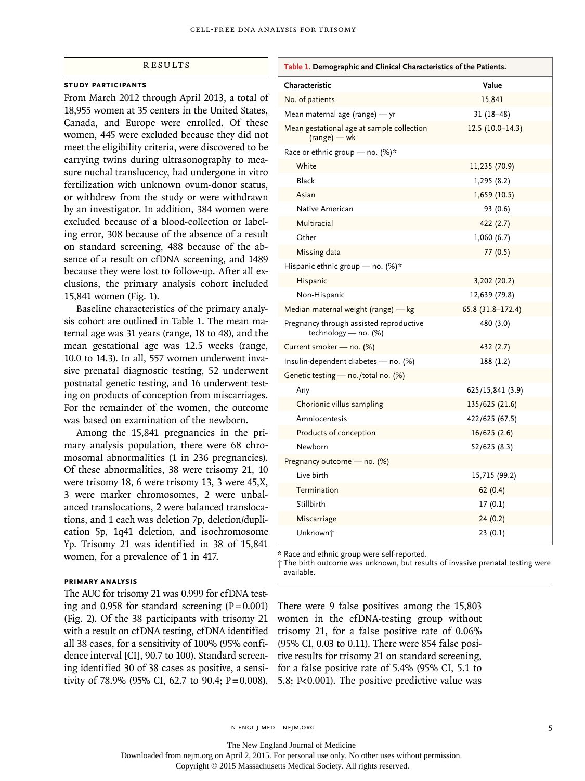## **RESULTS**

## **Study Participants**

From March 2012 through April 2013, a total of 18,955 women at 35 centers in the United States, Canada, and Europe were enrolled. Of these women, 445 were excluded because they did not meet the eligibility criteria, were discovered to be carrying twins during ultrasonography to measure nuchal translucency, had undergone in vitro fertilization with unknown ovum-donor status, or withdrew from the study or were withdrawn by an investigator. In addition, 384 women were excluded because of a blood-collection or labeling error, 308 because of the absence of a result on standard screening, 488 because of the absence of a result on cfDNA screening, and 1489 because they were lost to follow-up. After all exclusions, the primary analysis cohort included 15,841 women (Fig. 1).

Baseline characteristics of the primary analysis cohort are outlined in Table 1. The mean maternal age was 31 years (range, 18 to 48), and the mean gestational age was 12.5 weeks (range, 10.0 to 14.3). In all, 557 women underwent invasive prenatal diagnostic testing, 52 underwent postnatal genetic testing, and 16 underwent testing on products of conception from miscarriages. For the remainder of the women, the outcome was based on examination of the newborn.

Among the 15,841 pregnancies in the primary analysis population, there were 68 chromosomal abnormalities (1 in 236 pregnancies). Of these abnormalities, 38 were trisomy 21, 10 were trisomy 18, 6 were trisomy 13, 3 were 45,X, 3 were marker chromosomes, 2 were unbalanced translocations, 2 were balanced translocations, and 1 each was deletion 7p, deletion/duplication 5p, 1q41 deletion, and isochromosome Yp. Trisomy 21 was identified in 38 of 15,841 women, for a prevalence of 1 in 417.

## **Primary Analysis**

The AUC for trisomy 21 was 0.999 for cfDNA testing and 0.958 for standard screening  $(P = 0.001)$ (Fig. 2). Of the 38 participants with trisomy 21 with a result on cfDNA testing, cfDNA identified all 38 cases, for a sensitivity of 100% (95% confidence interval [CI], 90.7 to 100). Standard screening identified 30 of 38 cases as positive, a sensitivity of 78.9% (95% CI, 62.7 to 90.4;  $P = 0.008$ ).

| Table 1. Demographic and Clinical Characteristics of the Patients. |                    |  |  |  |  |  |
|--------------------------------------------------------------------|--------------------|--|--|--|--|--|
| Characteristic                                                     | Value              |  |  |  |  |  |
| No. of patients                                                    | 15,841             |  |  |  |  |  |
| Mean maternal age (range) — yr                                     | $31(18-48)$        |  |  |  |  |  |
| Mean gestational age at sample collection<br>$(range) - wk$        | $12.5(10.0-14.3)$  |  |  |  |  |  |
| Race or ethnic group - no. (%)*                                    |                    |  |  |  |  |  |
| White                                                              | 11,235 (70.9)      |  |  |  |  |  |
| Black                                                              | 1,295(8.2)         |  |  |  |  |  |
| Asian                                                              | 1,659(10.5)        |  |  |  |  |  |
| Native American                                                    | 93 (0.6)           |  |  |  |  |  |
| Multiracial                                                        | 422 (2.7)          |  |  |  |  |  |
| Other                                                              | 1,060(6.7)         |  |  |  |  |  |
| Missing data                                                       | 77(0.5)            |  |  |  |  |  |
| Hispanic ethnic group - no. (%)*                                   |                    |  |  |  |  |  |
| Hispanic                                                           | 3,202 (20.2)       |  |  |  |  |  |
| Non-Hispanic                                                       | 12,639 (79.8)      |  |  |  |  |  |
| Median maternal weight (range) - kg                                | $65.8(31.8-172.4)$ |  |  |  |  |  |
| Pregnancy through assisted reproductive<br>technology - no. (%)    | 480 (3.0)          |  |  |  |  |  |
| Current smoker - no. (%)                                           | 432 (2.7)          |  |  |  |  |  |
| Insulin-dependent diabetes - no. (%)                               | 188 (1.2)          |  |  |  |  |  |
| Genetic testing - no./total no. (%)                                |                    |  |  |  |  |  |
| Any                                                                | 625/15,841 (3.9)   |  |  |  |  |  |
| Chorionic villus sampling                                          | 135/625 (21.6)     |  |  |  |  |  |
| Amniocentesis                                                      | 422/625 (67.5)     |  |  |  |  |  |
| Products of conception                                             | 16/625(2.6)        |  |  |  |  |  |
| Newborn                                                            | 52/625 (8.3)       |  |  |  |  |  |
| Pregnancy outcome - no. (%)                                        |                    |  |  |  |  |  |
| Live birth                                                         | 15,715 (99.2)      |  |  |  |  |  |
| Termination                                                        | 62 (0.4)           |  |  |  |  |  |
| Stillbirth                                                         | 17 (0.1)           |  |  |  |  |  |
| Miscarriage                                                        | 24(0.2)            |  |  |  |  |  |
| Unknown <sup>+</sup>                                               | 23(0.1)            |  |  |  |  |  |

\* Race and ethnic group were self-reported.

† The birth outcome was unknown, but results of invasive prenatal testing were available.

There were 9 false positives among the 15,803 women in the cfDNA-testing group without trisomy 21, for a false positive rate of 0.06% (95% CI, 0.03 to 0.11). There were 854 false positive results for trisomy 21 on standard screening, for a false positive rate of 5.4% (95% CI, 5.1 to 5.8; P<0.001). The positive predictive value was

n engl j med nejm.org 5

The New England Journal of Medicine

Downloaded from nejm.org on April 2, 2015. For personal use only. No other uses without permission.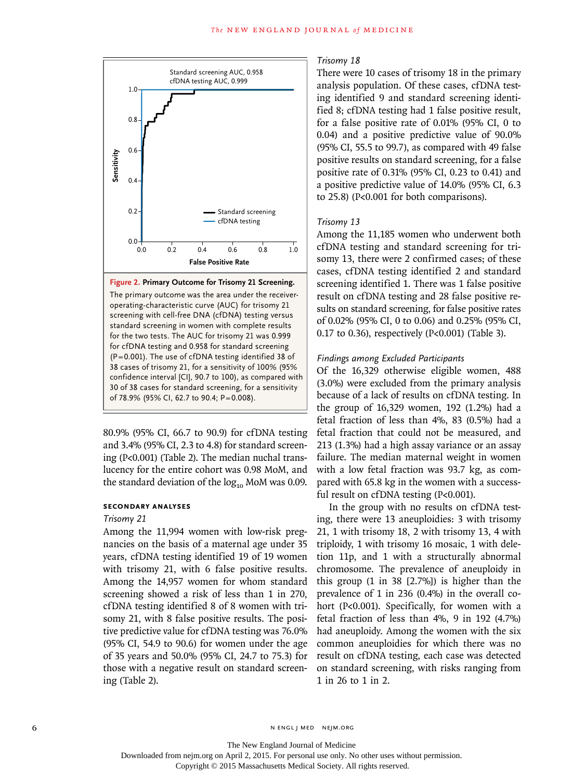

The primary outcome was the area under the receiveroperating-characteristic curve (AUC) for trisomy 21 screening with cell-free DNA (cfDNA) testing versus standard screening in women with complete results for the two tests. The AUC for trisomy 21 was 0.999 for cfDNA testing and 0.958 for standard screening (P=0.001). The use of cfDNA testing identified 38 of 38 cases of trisomy 21, for a sensitivity of 100% (95% confidence interval [CI], 90.7 to 100), as compared with 30 of 38 cases for standard screening, for a sensitivity of 78.9% (95% CI, 62.7 to 90.4; P=0.008).

80.9% (95% CI, 66.7 to 90.9) for cfDNA testing and 3.4% (95% CI, 2.3 to 4.8) for standard screening (P<0.001) (Table 2). The median nuchal translucency for the entire cohort was 0.98 MoM, and the standard deviation of the  $log_{10}$  MoM was 0.09.

## **Secondary Analyses**

# *Trisomy 21*

Among the 11,994 women with low-risk pregnancies on the basis of a maternal age under 35 years, cfDNA testing identified 19 of 19 women with trisomy 21, with 6 false positive results. Among the 14,957 women for whom standard screening showed a risk of less than 1 in 270, cfDNA testing identified 8 of 8 women with trisomy 21, with 8 false positive results. The positive predictive value for cfDNA testing was 76.0% (95% CI, 54.9 to 90.6) for women under the age of 35 years and 50.0% (95% CI, 24.7 to 75.3) for those with a negative result on standard screening (Table 2).

# *Trisomy 18*

There were 10 cases of trisomy 18 in the primary analysis population. Of these cases, cfDNA testing identified 9 and standard screening identified 8; cfDNA testing had 1 false positive result, for a false positive rate of 0.01% (95% CI, 0 to 0.04) and a positive predictive value of 90.0% (95% CI, 55.5 to 99.7), as compared with 49 false positive results on standard screening, for a false positive rate of 0.31% (95% CI, 0.23 to 0.41) and a positive predictive value of 14.0% (95% CI, 6.3 to 25.8) (P<0.001 for both comparisons).

# *Trisomy 13*

Among the 11,185 women who underwent both cfDNA testing and standard screening for trisomy 13, there were 2 confirmed cases; of these cases, cfDNA testing identified 2 and standard screening identified 1. There was 1 false positive result on cfDNA testing and 28 false positive results on standard screening, for false positive rates of 0.02% (95% CI, 0 to 0.06) and 0.25% (95% CI, 0.17 to 0.36), respectively (P<0.001) (Table 3).

## *Findings among Excluded Participants*

Of the 16,329 otherwise eligible women, 488 (3.0%) were excluded from the primary analysis because of a lack of results on cfDNA testing. In the group of 16,329 women, 192 (1.2%) had a fetal fraction of less than 4%, 83 (0.5%) had a fetal fraction that could not be measured, and 213 (1.3%) had a high assay variance or an assay failure. The median maternal weight in women with a low fetal fraction was 93.7 kg, as compared with 65.8 kg in the women with a successful result on cfDNA testing (P<0.001).

In the group with no results on cfDNA testing, there were 13 aneuploidies: 3 with trisomy 21, 1 with trisomy 18, 2 with trisomy 13, 4 with triploidy, 1 with trisomy 16 mosaic, 1 with deletion 11p, and 1 with a structurally abnormal chromosome. The prevalence of aneuploidy in this group (1 in 38 [2.7%]) is higher than the prevalence of 1 in 236 (0.4%) in the overall cohort (P<0.001). Specifically, for women with a fetal fraction of less than 4%, 9 in 192 (4.7%) had aneuploidy. Among the women with the six common aneuploidies for which there was no result on cfDNA testing, each case was detected on standard screening, with risks ranging from 1 in 26 to 1 in 2.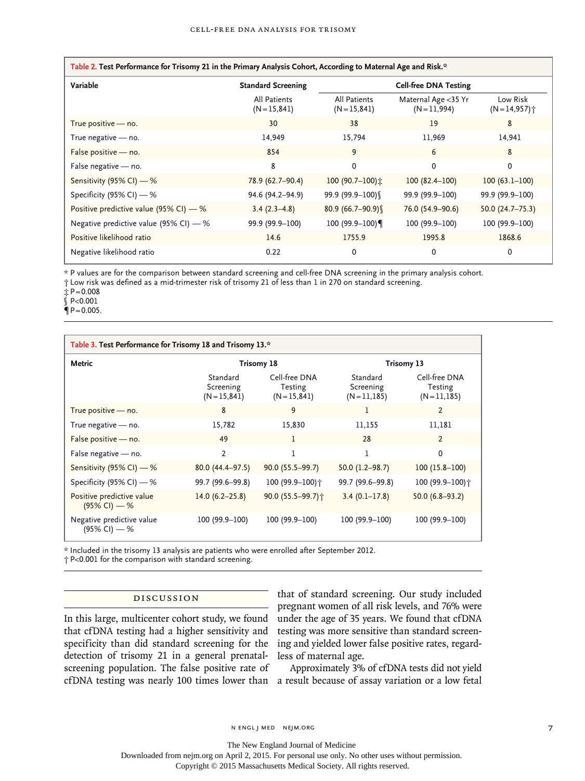| Table 2. Test Performance for Trisomy 21 in the Primary Analysis Cohort, According to Maternal Age and Risk.* |                                 |                                 |                                     |                             |  |  |  |
|---------------------------------------------------------------------------------------------------------------|---------------------------------|---------------------------------|-------------------------------------|-----------------------------|--|--|--|
| Variable                                                                                                      | <b>Standard Screening</b>       | <b>Cell-free DNA Testing</b>    |                                     |                             |  |  |  |
|                                                                                                               | All Patients<br>$(N = 15, 841)$ | All Patients<br>$(N = 15, 841)$ | Maternal Age <35 Yr<br>$(N=11,994)$ | Low Risk<br>$(N = 14, 957)$ |  |  |  |
| True positive - no.                                                                                           | 30                              | 38                              | 19                                  | 8                           |  |  |  |
| True negative - no.                                                                                           | 14,949                          | 15,794                          | 11,969                              | 14,941                      |  |  |  |
| False positive - no.                                                                                          | 854                             | 9                               | 6                                   | 8                           |  |  |  |
| False negative - no.                                                                                          | 8                               | 0                               | 0                                   | 0                           |  |  |  |
| Sensitivity (95% CI) - %                                                                                      | 78.9 (62.7-90.4)                | 100 (90.7-100) $\dot{x}$        | $100(82.4-100)$                     | $100(63.1-100)$             |  |  |  |
| Specificity (95% CI) $-$ %                                                                                    | 94.6 (94.2-94.9)                | 99.9 (99.9-100)                 | 99.9 (99.9-100)                     | 99.9 (99.9-100)             |  |  |  |
| Positive predictive value (95% CI) $-$ %                                                                      | $3.4(2.3-4.8)$                  | $80.9(66.7-90.9)$               | 76.0 (54.9-90.6)                    | $50.0(24.7 - 75.3)$         |  |  |  |
| Negative predictive value (95% CI) $-$ %                                                                      | 99.9 (99.9-100)                 | 100 (99.9-100)                  | 100 (99.9-100)                      | 100 (99.9-100)              |  |  |  |
| Positive likelihood ratio                                                                                     | 14.6                            | 1755.9                          | 1995.8                              | 1868.6                      |  |  |  |
| Negative likelihood ratio                                                                                     | 0.22                            | 0                               | $\Omega$                            | 0                           |  |  |  |

\* P values are for the comparison between standard screening and cell-free DNA screening in the primary analysis cohort.

† Low risk was defined as a mid-trimester risk of trisomy 21 of less than 1 in 270 on standard screening.

 $\pm P = 0.008$ 

 $$P<0.001$ 

 $\P P = 0.005$ .

| Table 3. Test Performance for Trisomy 18 and Trisomy 13.* |                                          |                                             |                                       |                                          |  |  |  |
|-----------------------------------------------------------|------------------------------------------|---------------------------------------------|---------------------------------------|------------------------------------------|--|--|--|
| Metric                                                    | Trisomy 18                               |                                             | Trisomy 13                            |                                          |  |  |  |
|                                                           | Standard<br>Screening<br>$(N = 15, 841)$ | Cell-free DNA<br>Testing<br>$(N = 15, 841)$ | Standard<br>Screening<br>$(N=11,185)$ | Cell-free DNA<br>Testing<br>$(N=11,185)$ |  |  |  |
| True positive - no.                                       | 8                                        | 9                                           | 1                                     | $\overline{2}$                           |  |  |  |
| True negative - no.                                       | 15,782                                   | 15,830                                      | 11,155                                | 11.181                                   |  |  |  |
| False positive - no.                                      | 49                                       |                                             | 28                                    | $\overline{2}$                           |  |  |  |
| False negative - no.                                      | 2                                        |                                             | 1                                     | 0                                        |  |  |  |
| Sensitivity (95% CI) — %                                  | $80.0(44.4 - 97.5)$                      | $90.0(55.5-99.7)$                           | $50.0(1.2 - 98.7)$                    | $100(15.8-100)$                          |  |  |  |
| Specificity (95% CI) - %                                  | 99.7 (99.6-99.8)                         | 100 (99.9-100) †                            | 99.7 (99.6-99.8)                      | 100 (99.9-100) +                         |  |  |  |
| Positive predictive value<br>$(95\%$ CI) — %              | $14.0(6.2 - 25.8)$                       | 90.0 (55.5-99.7) +                          | $3.4(0.1 - 17.8)$                     | $50.0(6.8-93.2)$                         |  |  |  |
| Negative predictive value<br>(95% CI) — %                 | 100 (99.9-100)                           | 100 (99.9-100)                              | 100 (99.9-100)                        | 100 (99.9-100)                           |  |  |  |

\* Included in the trisomy 13 analysis are patients who were enrolled after September 2012.

† P<0.001 for the comparison with standard screening.

# Discussion

In this large, multicenter cohort study, we found that cfDNA testing had a higher sensitivity and specificity than did standard screening for the detection of trisomy 21 in a general prenatalscreening population. The false positive rate of

that of standard screening. Our study included pregnant women of all risk levels, and 76% were under the age of 35 years. We found that cfDNA testing was more sensitive than standard screening and yielded lower false positive rates, regardless of maternal age.

cfDNA testing was nearly 100 times lower than a result because of assay variation or a low fetal Approximately 3% of cfDNA tests did not yield

n engl j med nejm.org 7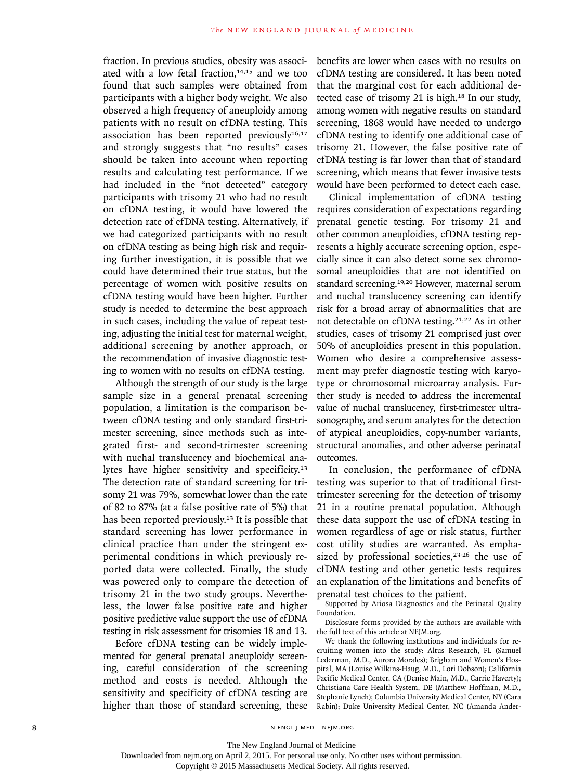fraction. In previous studies, obesity was associated with a low fetal fraction, $14,15$  and we too found that such samples were obtained from participants with a higher body weight. We also observed a high frequency of aneuploidy among patients with no result on cfDNA testing. This association has been reported previously $16,17$ and strongly suggests that "no results" cases should be taken into account when reporting results and calculating test performance. If we had included in the "not detected" category participants with trisomy 21 who had no result on cfDNA testing, it would have lowered the detection rate of cfDNA testing. Alternatively, if we had categorized participants with no result on cfDNA testing as being high risk and requiring further investigation, it is possible that we could have determined their true status, but the percentage of women with positive results on cfDNA testing would have been higher. Further study is needed to determine the best approach in such cases, including the value of repeat testing, adjusting the initial test for maternal weight, additional screening by another approach, or the recommendation of invasive diagnostic testing to women with no results on cfDNA testing.

Although the strength of our study is the large sample size in a general prenatal screening population, a limitation is the comparison between cfDNA testing and only standard first-trimester screening, since methods such as integrated first- and second-trimester screening with nuchal translucency and biochemical analytes have higher sensitivity and specificity.<sup>13</sup> The detection rate of standard screening for trisomy 21 was 79%, somewhat lower than the rate of 82 to 87% (at a false positive rate of 5%) that has been reported previously.<sup>13</sup> It is possible that standard screening has lower performance in clinical practice than under the stringent experimental conditions in which previously reported data were collected. Finally, the study was powered only to compare the detection of trisomy 21 in the two study groups. Nevertheless, the lower false positive rate and higher positive predictive value support the use of cfDNA testing in risk assessment for trisomies 18 and 13.

Before cfDNA testing can be widely implemented for general prenatal aneuploidy screening, careful consideration of the screening method and costs is needed. Although the sensitivity and specificity of cfDNA testing are higher than those of standard screening, these benefits are lower when cases with no results on cfDNA testing are considered. It has been noted that the marginal cost for each additional detected case of trisomy 21 is high.18 In our study, among women with negative results on standard screening, 1868 would have needed to undergo cfDNA testing to identify one additional case of trisomy 21. However, the false positive rate of cfDNA testing is far lower than that of standard screening, which means that fewer invasive tests would have been performed to detect each case.

Clinical implementation of cfDNA testing requires consideration of expectations regarding prenatal genetic testing. For trisomy 21 and other common aneuploidies, cfDNA testing represents a highly accurate screening option, especially since it can also detect some sex chromosomal aneuploidies that are not identified on standard screening.19,20 However, maternal serum and nuchal translucency screening can identify risk for a broad array of abnormalities that are not detectable on cfDNA testing.<sup>21,22</sup> As in other studies, cases of trisomy 21 comprised just over 50% of aneuploidies present in this population. Women who desire a comprehensive assessment may prefer diagnostic testing with karyotype or chromosomal microarray analysis. Further study is needed to address the incremental value of nuchal translucency, first-trimester ultrasonography, and serum analytes for the detection of atypical aneuploidies, copy-number variants, structural anomalies, and other adverse perinatal outcomes.

In conclusion, the performance of cfDNA testing was superior to that of traditional firsttrimester screening for the detection of trisomy 21 in a routine prenatal population. Although these data support the use of cfDNA testing in women regardless of age or risk status, further cost utility studies are warranted. As emphasized by professional societies, $23-26$  the use of cfDNA testing and other genetic tests requires an explanation of the limitations and benefits of prenatal test choices to the patient.

Supported by Ariosa Diagnostics and the Perinatal Quality Foundation.

Disclosure forms provided by the authors are available with the full text of this article at NEJM.org.

We thank the following institutions and individuals for recruiting women into the study: Altus Research, FL (Samuel Lederman, M.D., Aurora Morales); Brigham and Women's Hospital, MA (Louise Wilkins-Haug, M.D., Lori Dobson); California Pacific Medical Center, CA (Denise Main, M.D., Carrie Haverty); Christiana Care Health System, DE (Matthew Hoffman, M.D., Stephanie Lynch); Columbia University Medical Center, NY (Cara Rabin); Duke University Medical Center, NC (Amanda Ander-